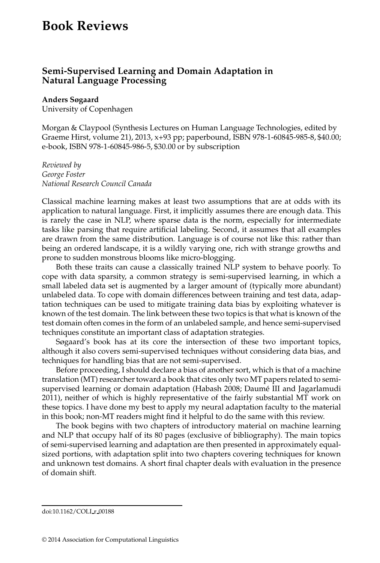## **Book Reviews**

## **Semi-Supervised Learning and Domain Adaptation in Natural Language Processing**

## **Anders Søgaard**

University of Copenhagen

Morgan & Claypool (Synthesis Lectures on Human Language Technologies, edited by Graeme Hirst, volume 21), 2013, x+93 pp; paperbound, ISBN 978-1-60845-985-8, \$40.00; e-book, ISBN 978-1-60845-986-5, \$30.00 or by subscription

*Reviewed by George Foster National Research Council Canada*

Classical machine learning makes at least two assumptions that are at odds with its application to natural language. First, it implicitly assumes there are enough data. This is rarely the case in NLP, where sparse data is the norm, especially for intermediate tasks like parsing that require artificial labeling. Second, it assumes that all examples are drawn from the same distribution. Language is of course not like this: rather than being an ordered landscape, it is a wildly varying one, rich with strange growths and prone to sudden monstrous blooms like micro-blogging.

Both these traits can cause a classically trained NLP system to behave poorly. To cope with data sparsity, a common strategy is semi-supervised learning, in which a small labeled data set is augmented by a larger amount of (typically more abundant) unlabeled data. To cope with domain differences between training and test data, adaptation techniques can be used to mitigate training data bias by exploiting whatever is known of the test domain. The link between these two topics is that what is known of the test domain often comes in the form of an unlabeled sample, and hence semi-supervised techniques constitute an important class of adaptation strategies.

Søgaard's book has at its core the intersection of these two important topics, although it also covers semi-supervised techniques without considering data bias, and techniques for handling bias that are not semi-supervised.

Before proceeding, I should declare a bias of another sort, which is that of a machine translation (MT) researcher toward a book that cites only two MT papers related to semisupervised learning or domain adaptation (Habash 2008; Daumé III and Jagarlamudi 2011), neither of which is highly representative of the fairly substantial MT work on these topics. I have done my best to apply my neural adaptation faculty to the material in this book; non-MT readers might find it helpful to do the same with this review.

The book begins with two chapters of introductory material on machine learning and NLP that occupy half of its 80 pages (exclusive of bibliography). The main topics of semi-supervised learning and adaptation are then presented in approximately equalsized portions, with adaptation split into two chapters covering techniques for known and unknown test domains. A short final chapter deals with evaluation in the presence of domain shift.

doi:10.1162/COLI r 00188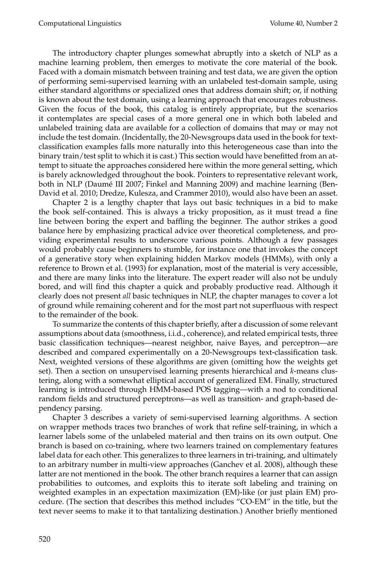The introductory chapter plunges somewhat abruptly into a sketch of NLP as a machine learning problem, then emerges to motivate the core material of the book. Faced with a domain mismatch between training and test data, we are given the option of performing semi-supervised learning with an unlabeled test-domain sample, using either standard algorithms or specialized ones that address domain shift; or, if nothing is known about the test domain, using a learning approach that encourages robustness. Given the focus of the book, this catalog is entirely appropriate, but the scenarios it contemplates are special cases of a more general one in which both labeled and unlabeled training data are available for a collection of domains that may or may not include the test domain. (Incidentally, the 20-Newsgroups data used in the book for textclassification examples falls more naturally into this heterogeneous case than into the binary train/test split to which it is cast.) This section would have benefitted from an attempt to situate the approaches considered here within the more general setting, which is barely acknowledged throughout the book. Pointers to representative relevant work, both in NLP (Daumé III 2007; Finkel and Manning 2009) and machine learning (Ben-David et al. 2010; Dredze, Kulesza, and Crammer 2010), would also have been an asset.

Chapter 2 is a lengthy chapter that lays out basic techniques in a bid to make the book self-contained. This is always a tricky proposition, as it must tread a fine line between boring the expert and baffling the beginner. The author strikes a good balance here by emphasizing practical advice over theoretical completeness, and providing experimental results to underscore various points. Although a few passages would probably cause beginners to stumble, for instance one that invokes the concept of a generative story when explaining hidden Markov models (HMMs), with only a reference to Brown et al. (1993) for explanation, most of the material is very accessible, and there are many links into the literature. The expert reader will also not be unduly bored, and will find this chapter a quick and probably productive read. Although it clearly does not present *all* basic techniques in NLP, the chapter manages to cover a lot of ground while remaining coherent and for the most part not superfluous with respect to the remainder of the book.

To summarize the contents of this chapter briefly, after a discussion of some relevant assumptions about data (smoothness, i.i.d., coherence), and related empirical tests, three basic classification techniques—nearest neighbor, naive Bayes, and perceptron—are described and compared experimentally on a 20-Newsgroups text-classification task. Next, weighted versions of these algorithms are given (omitting how the weights get set). Then a section on unsupervised learning presents hierarchical and *k*-means clustering, along with a somewhat elliptical account of generalized EM. Finally, structured learning is introduced through HMM-based POS tagging—with a nod to conditional random fields and structured perceptrons—as well as transition- and graph-based dependency parsing.

Chapter 3 describes a variety of semi-supervised learning algorithms. A section on wrapper methods traces two branches of work that refine self-training, in which a learner labels some of the unlabeled material and then trains on its own output. One branch is based on co-training, where two learners trained on complementary features label data for each other. This generalizes to three learners in tri-training, and ultimately to an arbitrary number in multi-view approaches (Ganchev et al. 2008), although these latter are not mentioned in the book. The other branch requires a learner that can assign probabilities to outcomes, and exploits this to iterate soft labeling and training on weighted examples in an expectation maximization (EM)-like (or just plain EM) procedure. (The section that describes this method includes "CO-EM" in the title, but the text never seems to make it to that tantalizing destination.) Another briefly mentioned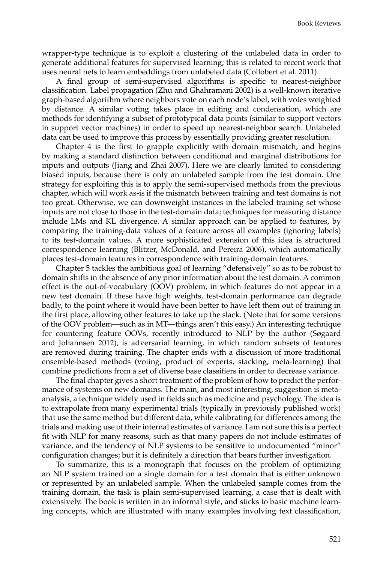wrapper-type technique is to exploit a clustering of the unlabeled data in order to generate additional features for supervised learning; this is related to recent work that uses neural nets to learn embeddings from unlabeled data (Collobert et al. 2011).

A final group of semi-supervised algorithms is specific to nearest-neighbor classification. Label propagation (Zhu and Ghahramani 2002) is a well-known iterative graph-based algorithm where neighbors vote on each node's label, with votes weighted by distance. A similar voting takes place in editing and condensation, which are methods for identifying a subset of prototypical data points (similar to support vectors in support vector machines) in order to speed up nearest-neighbor search. Unlabeled data can be used to improve this process by essentially providing greater resolution.

Chapter 4 is the first to grapple explicitly with domain mismatch, and begins by making a standard distinction between conditional and marginal distributions for inputs and outputs (Jiang and Zhai 2007). Here we are clearly limited to considering biased inputs, because there is only an unlabeled sample from the test domain. One strategy for exploiting this is to apply the semi-supervised methods from the previous chapter, which will work as-is if the mismatch between training and test domains is not too great. Otherwise, we can downweight instances in the labeled training set whose inputs are not close to those in the test-domain data; techniques for measuring distance include LMs and KL divergence. A similar approach can be applied to features, by comparing the training-data values of a feature across all examples (ignoring labels) to its test-domain values. A more sophisticated extension of this idea is structured correspondence learning (Blitzer, McDonald, and Pereira 2006), which automatically places test-domain features in correspondence with training-domain features.

Chapter 5 tackles the ambitious goal of learning "defensively" so as to be robust to domain shifts in the absence of any prior information about the test domain. A common effect is the out-of-vocabulary (OOV) problem, in which features do not appear in a new test domain. If these have high weights, test-domain performance can degrade badly, to the point where it would have been better to have left them out of training in the first place, allowing other features to take up the slack. (Note that for some versions of the OOV problem—such as in MT—things aren't this easy.) An interesting technique for countering feature OOVs, recently introduced to NLP by the author (Søgaard and Johannsen 2012), is adversarial learning, in which random subsets of features are removed during training. The chapter ends with a discussion of more traditional ensemble-based methods (voting, product of experts, stacking, meta-learning) that combine predictions from a set of diverse base classifiers in order to decrease variance.

The final chapter gives a short treatment of the problem of how to predict the performance of systems on new domains. The main, and most interesting, suggestion is metaanalysis, a technique widely used in fields such as medicine and psychology. The idea is to extrapolate from many experimental trials (typically in previously published work) that use the same method but different data, while calibrating for differences among the trials and making use of their internal estimates of variance. I am not sure this is a perfect fit with NLP for many reasons, such as that many papers do not include estimates of variance, and the tendency of NLP systems to be sensitive to undocumented "minor" configuration changes; but it is definitely a direction that bears further investigation.

To summarize, this is a monograph that focuses on the problem of optimizing an NLP system trained on a single domain for a test domain that is either unknown or represented by an unlabeled sample. When the unlabeled sample comes from the training domain, the task is plain semi-supervised learning, a case that is dealt with extensively. The book is written in an informal style, and sticks to basic machine learning concepts, which are illustrated with many examples involving text classification,